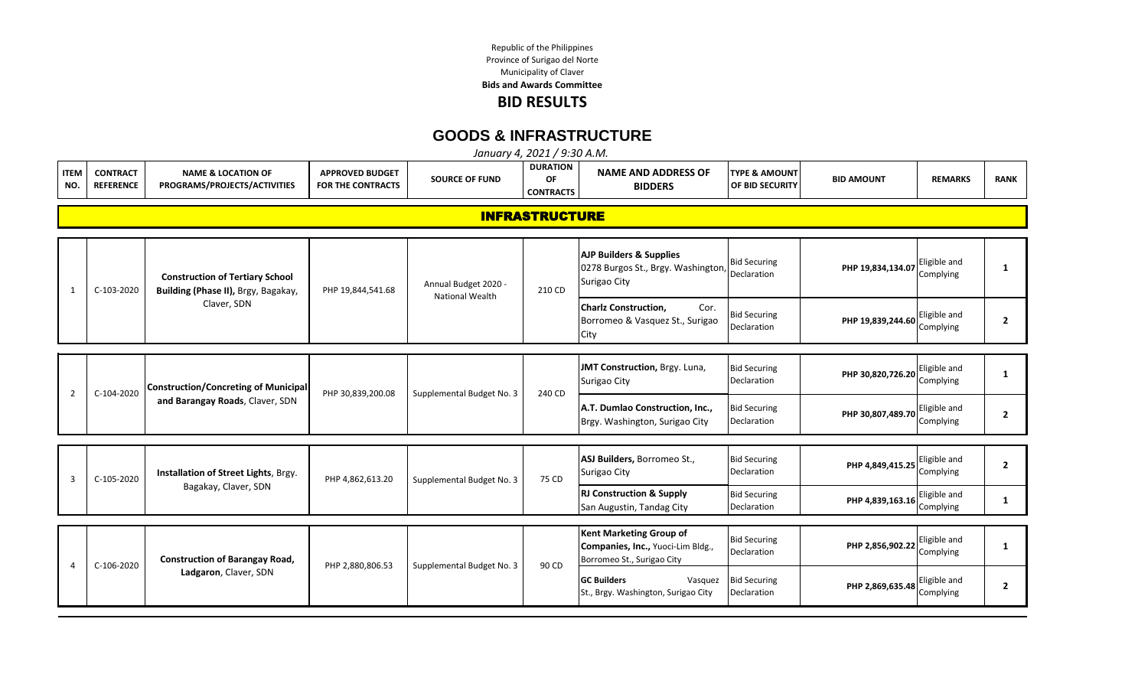Republic of the Philippines Municipality of Claver Province of Surigao del Norte **Bids and Awards Committee BID RESULTS**

**GOODS & INFRASTRUCTURE**

|                    | January 4, 2021 / 9:30 A.M.         |                                                                                |                                                    |                           |                                                  |                                                                                                   |                                             |                   |                           |                |  |  |
|--------------------|-------------------------------------|--------------------------------------------------------------------------------|----------------------------------------------------|---------------------------|--------------------------------------------------|---------------------------------------------------------------------------------------------------|---------------------------------------------|-------------------|---------------------------|----------------|--|--|
| <b>ITEM</b><br>NO. | <b>CONTRACT</b><br><b>REFERENCE</b> | <b>NAME &amp; LOCATION OF</b><br>PROGRAMS/PROJECTS/ACTIVITIES                  | <b>APPROVED BUDGET</b><br><b>FOR THE CONTRACTS</b> | <b>SOURCE OF FUND</b>     | <b>DURATION</b><br><b>OF</b><br><b>CONTRACTS</b> | <b>NAME AND ADDRESS OF</b><br><b>BIDDERS</b>                                                      | <b>TYPE &amp; AMOUNT</b><br>OF BID SECURITY | <b>BID AMOUNT</b> | <b>REMARKS</b>            | <b>RANK</b>    |  |  |
|                    |                                     |                                                                                |                                                    |                           | <b>INFRASTRUCTURE</b>                            |                                                                                                   |                                             |                   |                           |                |  |  |
| $\mathbf{1}$       | C-103-2020                          | <b>Construction of Tertiary School</b><br>Building (Phase II), Brgy, Bagakay,  | PHP 19,844,541.68                                  | Annual Budget 2020 -      | 210 CD                                           | <b>AJP Builders &amp; Supplies</b><br>0278 Burgos St., Brgy. Washington,<br>Surigao City          | <b>Bid Securing</b><br>Declaration          | PHP 19,834,134.07 | Eligible and<br>Complying | $\mathbf{1}$   |  |  |
|                    |                                     | Claver, SDN                                                                    |                                                    | <b>National Wealth</b>    |                                                  | <b>Charlz Construction,</b><br>Cor.<br>Borromeo & Vasquez St., Surigao<br>City                    | <b>Bid Securing</b><br>Declaration          | PHP 19,839,244.60 | Eligible and<br>Complying | $\overline{2}$ |  |  |
| $\overline{2}$     | C-104-2020                          | <b>Construction/Concreting of Municipal</b><br>and Barangay Roads, Claver, SDN | PHP 30,839,200.08                                  | Supplemental Budget No. 3 | 240 CD                                           | JMT Construction, Brgy. Luna,<br>Surigao City                                                     | <b>Bid Securing</b><br>Declaration          | PHP 30,820,726.20 | Eligible and<br>Complying | 1              |  |  |
|                    |                                     |                                                                                |                                                    |                           |                                                  | A.T. Dumlao Construction, Inc.,<br>Brgy. Washington, Surigao City                                 | <b>Bid Securing</b><br>Declaration          | PHP 30,807,489.70 | Eligible and<br>Complying | $\overline{2}$ |  |  |
|                    |                                     |                                                                                |                                                    |                           |                                                  |                                                                                                   |                                             |                   |                           |                |  |  |
| $\mathbf{3}$       | C-105-2020                          | Installation of Street Lights, Brgy.                                           | PHP 4,862,613.20                                   | Supplemental Budget No. 3 | 75 CD                                            | ASJ Builders, Borromeo St.,<br>Surigao City                                                       | <b>Bid Securing</b><br>Declaration          | PHP 4,849,415.25  | Eligible and<br>Complying | $\overline{2}$ |  |  |
|                    |                                     | Bagakay, Claver, SDN                                                           |                                                    |                           |                                                  | <b>RJ Construction &amp; Supply</b><br>San Augustin, Tandag City                                  | <b>Bid Securing</b><br>Declaration          | PHP 4,839,163.16  | Eligible and<br>Complying | 1              |  |  |
|                    | C-106-2020                          | <b>Construction of Barangay Road,</b>                                          |                                                    |                           |                                                  | <b>Kent Marketing Group of</b><br>Companies, Inc., Yuoci-Lim Bldg.,<br>Borromeo St., Surigao City | <b>Bid Securing</b><br>Declaration          | PHP 2,856,902.22  | Eligible and<br>Complying | 1              |  |  |
|                    |                                     | Ladgaron, Claver, SDN                                                          | PHP 2,880,806.53                                   | Supplemental Budget No. 3 | 90 CD                                            | <b>GC Builders</b><br>Vasquez<br>St., Brgy. Washington, Surigao City                              | <b>Bid Securing</b><br>Declaration          | PHP 2,869,635.48  | Eligible and<br>Complying | 2              |  |  |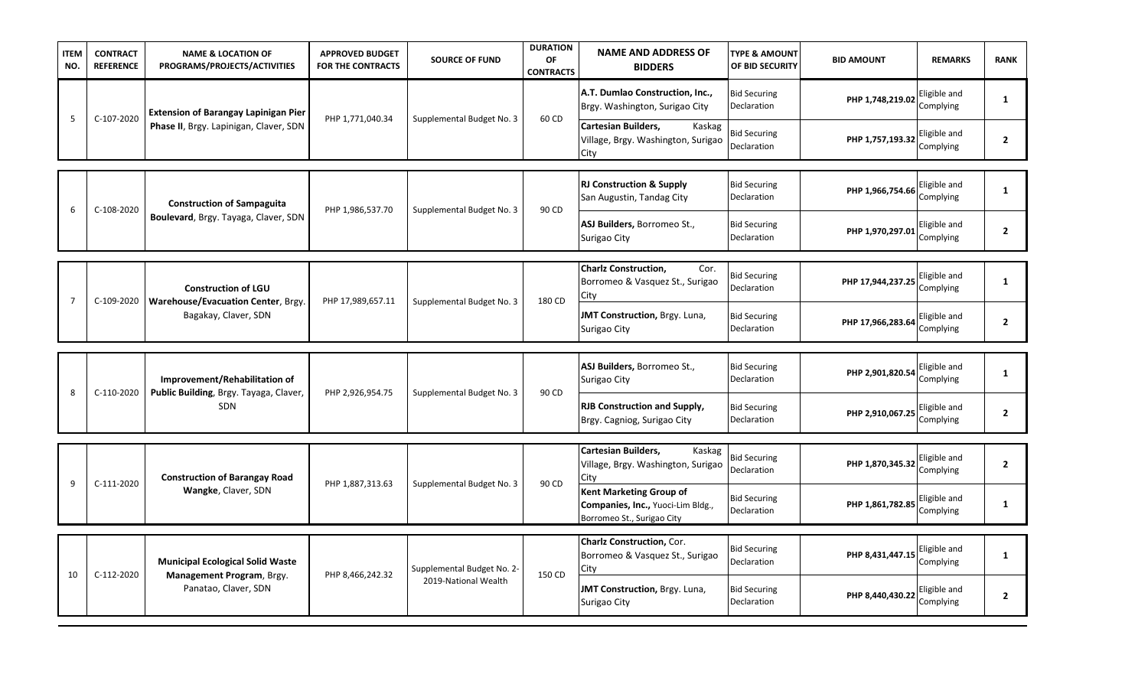| <b>ITEM</b><br>NO. | <b>CONTRACT</b><br><b>REFERENCE</b> | <b>NAME &amp; LOCATION OF</b><br>PROGRAMS/PROJECTS/ACTIVITIES    | <b>APPROVED BUDGET</b><br><b>FOR THE CONTRACTS</b> | <b>SOURCE OF FUND</b>      | <b>DURATION</b><br>OF<br><b>CONTRACTS</b> | <b>NAME AND ADDRESS OF</b><br><b>BIDDERS</b>                                                      | <b>TYPE &amp; AMOUNT</b><br>OF BID SECURITY | <b>BID AMOUNT</b>                 | <b>REMARKS</b>            | <b>RANK</b>    |
|--------------------|-------------------------------------|------------------------------------------------------------------|----------------------------------------------------|----------------------------|-------------------------------------------|---------------------------------------------------------------------------------------------------|---------------------------------------------|-----------------------------------|---------------------------|----------------|
| 5                  | C-107-2020                          | <b>Extension of Barangay Lapinigan Pier</b>                      | PHP 1,771,040.34                                   | Supplemental Budget No. 3  | 60 CD                                     | A.T. Dumlao Construction, Inc.,<br>Brgy. Washington, Surigao City                                 | <b>Bid Securing</b><br>Declaration          | PHP 1,748,219.02                  | Eligible and<br>Complying | 1              |
|                    |                                     | Phase II, Brgy. Lapinigan, Claver, SDN                           |                                                    |                            |                                           | <b>Cartesian Builders,</b><br>Kaskag<br>Village, Brgy. Washington, Surigao<br>City                | <b>Bid Securing</b><br>Declaration          | PHP 1,757,193.32                  | Eligible and<br>Complying | $\overline{2}$ |
|                    |                                     |                                                                  |                                                    |                            |                                           |                                                                                                   |                                             |                                   |                           |                |
| 6                  | C-108-2020                          | <b>Construction of Sampaguita</b>                                | PHP 1,986,537.70                                   | Supplemental Budget No. 3  | 90 CD                                     | <b>RJ Construction &amp; Supply</b><br>San Augustin, Tandag City                                  | <b>Bid Securing</b><br>Declaration          | PHP 1,966,754.66                  | Eligible and<br>Complying | $\mathbf{1}$   |
|                    |                                     | Boulevard, Brgy. Tayaga, Claver, SDN                             |                                                    |                            |                                           | ASJ Builders, Borromeo St.,<br>Surigao City                                                       | <b>Bid Securing</b><br>Declaration          | PHP 1,970,297.01                  | Eligible and<br>Complying | $\overline{2}$ |
|                    |                                     |                                                                  |                                                    |                            |                                           | <b>Charlz Construction,</b><br>Cor.                                                               |                                             |                                   |                           |                |
| $\overline{7}$     | C-109-2020                          | <b>Construction of LGU</b><br>Warehouse/Evacuation Center, Brgy. | PHP 17,989,657.11                                  | Supplemental Budget No. 3  | 180 CD                                    | Borromeo & Vasquez St., Surigao<br>City                                                           | <b>Bid Securing</b><br>Declaration          | PHP 17,944,237.25                 | Eligible and<br>Complying | $\mathbf{1}$   |
|                    |                                     | Bagakay, Claver, SDN                                             |                                                    |                            |                                           | JMT Construction, Brgy. Luna,<br>Surigao City                                                     | <b>Bid Securing</b><br>Declaration          | PHP 17,966,283.64                 | Eligible and<br>Complying | $\overline{2}$ |
|                    |                                     |                                                                  |                                                    |                            |                                           |                                                                                                   |                                             |                                   |                           |                |
|                    |                                     | Improvement/Rehabilitation of                                    |                                                    |                            |                                           | ASJ Builders, Borromeo St.,<br>Surigao City                                                       | <b>Bid Securing</b><br>Declaration          | PHP 2,901,820.54                  | Eligible and<br>Complying | $\mathbf{1}$   |
| 8                  | C-110-2020                          | Public Building, Brgy. Tayaga, Claver,<br><b>SDN</b>             | PHP 2,926,954.75                                   | Supplemental Budget No. 3  | 90 CD                                     | <b>RJB Construction and Supply,</b><br>Brgy. Cagniog, Surigao City                                | <b>Bid Securing</b><br>Declaration          | <b>PHP 2,910,067.25</b> Complying | Eligible and              | $\mathbf{2}$   |
|                    |                                     |                                                                  |                                                    |                            |                                           | Cartesian Builders,<br>Kaskag                                                                     |                                             |                                   |                           |                |
|                    |                                     | <b>Construction of Barangay Road</b>                             |                                                    |                            |                                           | Village, Brgy. Washington, Surigao<br>City                                                        | <b>Bid Securing</b><br>Declaration          | PHP 1,870,345.32                  | Eligible and<br>Complying | $\overline{2}$ |
| 9                  | C-111-2020                          | Wangke, Claver, SDN                                              | PHP 1,887,313.63                                   | Supplemental Budget No. 3  | 90 CD                                     | <b>Kent Marketing Group of</b><br>Companies, Inc., Yuoci-Lim Bldg.,<br>Borromeo St., Surigao City | <b>Bid Securing</b><br>Declaration          | PHP 1,861,782.85                  | Eligible and<br>Complying | $\mathbf{1}$   |
|                    |                                     |                                                                  |                                                    |                            |                                           | Charlz Construction, Cor.                                                                         |                                             |                                   |                           |                |
|                    |                                     | <b>Municipal Ecological Solid Waste</b>                          |                                                    | Supplemental Budget No. 2- |                                           | Borromeo & Vasquez St., Surigao<br>City                                                           | <b>Bid Securing</b><br>Declaration          | PHP 8,431,447.15                  | Eligible and<br>Complying | 1              |
| 10                 | C-112-2020                          | Management Program, Brgy.<br>Panatao, Claver, SDN                | PHP 8,466,242.32                                   | 2019-National Wealth       | 150 CD                                    | <b>JMT Construction, Brgy. Luna,</b><br>Surigao City                                              | <b>Bid Securing</b><br>Declaration          | PHP 8,440,430.22                  | Eligible and<br>Complying | $\mathbf{2}$   |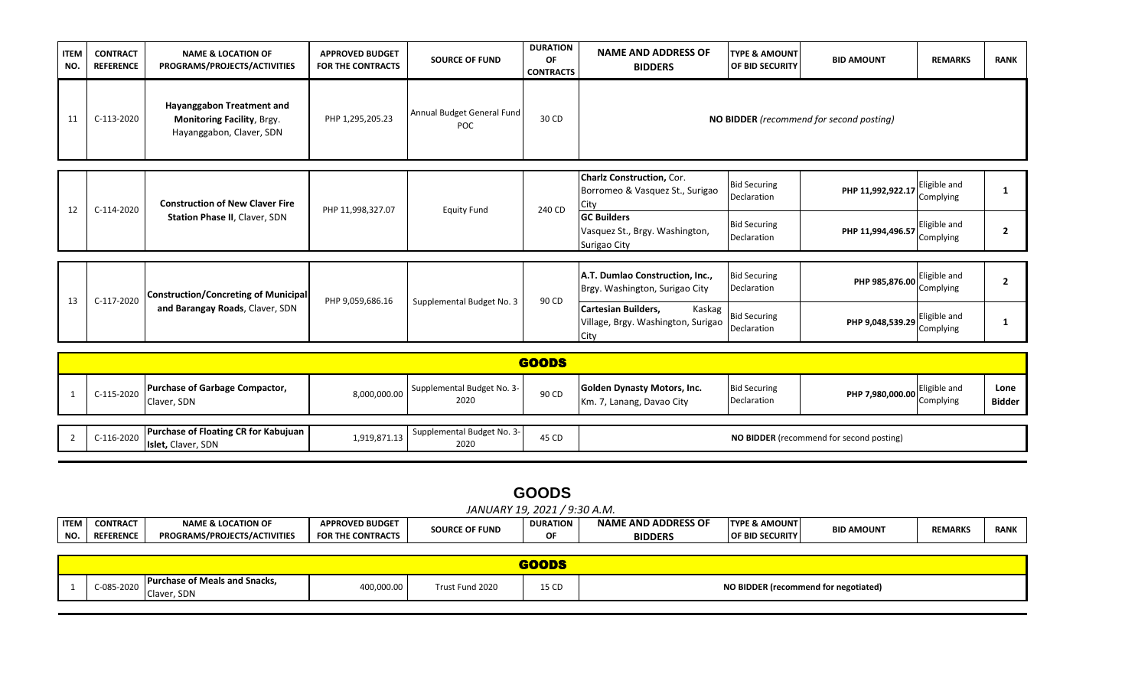| <b>ITEM</b><br>NO. | <b>CONTRACT</b><br><b>REFERENCE</b> | <b>NAME &amp; LOCATION OF</b><br>PROGRAMS/PROJECTS/ACTIVITIES                              | <b>APPROVED BUDGET</b><br><b>FOR THE CONTRACTS</b> | <b>SOURCE OF FUND</b>                    | <b>DURATION</b><br>ΟF<br><b>CONTRACTS</b> | <b>NAME AND ADDRESS OF</b><br><b>BIDDERS</b>                                                                                                        | <b>ITYPE &amp; AMOUNT</b><br><b>OF BID SECURITY</b>                      | <b>BID AMOUNT</b>                        | <b>REMARKS</b>                                         | <b>RANK</b> |
|--------------------|-------------------------------------|--------------------------------------------------------------------------------------------|----------------------------------------------------|------------------------------------------|-------------------------------------------|-----------------------------------------------------------------------------------------------------------------------------------------------------|--------------------------------------------------------------------------|------------------------------------------|--------------------------------------------------------|-------------|
| 11                 | C-113-2020                          | Hayanggabon Treatment and<br><b>Monitoring Facility, Brgy.</b><br>Hayanggabon, Claver, SDN | PHP 1,295,205.23                                   | Annual Budget General Fund<br><b>POC</b> | 30 CD                                     |                                                                                                                                                     |                                                                          | NO BIDDER (recommend for second posting) |                                                        |             |
| 12                 | C-114-2020                          | <b>Construction of New Claver Fire</b><br><b>Station Phase II, Claver, SDN</b>             | PHP 11,998,327.07                                  | <b>Equity Fund</b>                       | 240 CD                                    | <b>Charlz Construction, Cor.</b><br>Borromeo & Vasquez St., Surigao<br>City<br><b>GC Builders</b><br>Vasquez St., Brgy. Washington,<br>Surigao City | <b>Bid Securing</b><br>Declaration<br><b>Bid Securing</b><br>Declaration | PHP 11,992,922.17<br>PHP 11,994,496.57   | Eligible and<br>Complying<br>Eligible and<br>Complying |             |
| 13                 | C-117-2020                          | Construction/Concreting of Municipal<br>and Barangay Roads, Claver, SDN                    | PHP 9,059,686.16                                   | Supplemental Budget No. 3                | 90 CD                                     | A.T. Dumlao Construction, Inc.,<br>Brgy. Washington, Surigao City<br><b>Cartesian Builders,</b><br>Kaskag<br>Village, Brgy. Washington, Surigao     | <b>Bid Securing</b><br>Declaration<br><b>Bid Securing</b>                | PHP 985,876.00<br>PHP 9,048,539.29       | Eligible and<br>Complying<br>Eligible and              |             |

| <b>GOODS</b> |                                                                          |              |                                    |       |                                                          |                                    |                                          |              |                |  |  |  |
|--------------|--------------------------------------------------------------------------|--------------|------------------------------------|-------|----------------------------------------------------------|------------------------------------|------------------------------------------|--------------|----------------|--|--|--|
| C-115-2020   | <b>Purchase of Garbage Compactor,</b><br>Claver, SDN                     | 8,000,000.00 | Supplemental Budget No. 3-<br>2020 | 90 CD | Golden Dynasty Motors, Inc.<br>Km. 7, Lanang, Davao City | <b>Bid Securing</b><br>Declaration | PHP 7,980,000.00 Complying               | Eligible and | Lone<br>Bidder |  |  |  |
|              |                                                                          |              |                                    |       |                                                          |                                    |                                          |              |                |  |  |  |
| C-116-2020   | <b>Purchase of Floating CR for Kabujuan</b><br><b>Islet, Claver, SDN</b> | 1,919,871.13 | Supplemental Budget No. 3-<br>2020 | 45 CD |                                                          |                                    | NO BIDDER (recommend for second posting) |              |                |  |  |  |

| OOD<br>١ι<br>÷ |
|----------------|
|----------------|

|             | ` / 9:30 A.M.<br>2021<br>JANUARY 19. |                                     |                          |                       |                        |                            |                          |                   |                |             |  |
|-------------|--------------------------------------|-------------------------------------|--------------------------|-----------------------|------------------------|----------------------------|--------------------------|-------------------|----------------|-------------|--|
| <b>ITEM</b> | <b>CONTRACT</b>                      | <b>NAME &amp; LOCATION OF</b>       | <b>APPROVED BUDGET</b>   | <b>SOURCE OF FUND</b> | <b>DURATION</b>        | <b>NAME AND ADDRESS OF</b> | <b>TYPE &amp; AMOUNT</b> | <b>BID AMOUNT</b> | <b>REMARKS</b> | <b>RANK</b> |  |
| NO.         | <b>REFERENCE</b>                     | <b>PROGRAMS/PROJECTS/ACTIVITIES</b> | <b>FOR THE CONTRACTS</b> |                       | ΟF                     | <b>BIDDERS</b>             | <b>OF BID SECURITY</b>   |                   |                |             |  |
|             |                                      |                                     |                          |                       |                        |                            |                          |                   |                |             |  |
|             |                                      |                                     |                          |                       | <b>Service Service</b> |                            |                          |                   |                |             |  |

| <b>Purchase of Meals and Snacks.</b><br>C-085-2020<br>Claver, SDN | 400,000.00 | Trust Fund 2020 | 15 CD | NO BIDDER (recommend for negotiated) |
|-------------------------------------------------------------------|------------|-----------------|-------|--------------------------------------|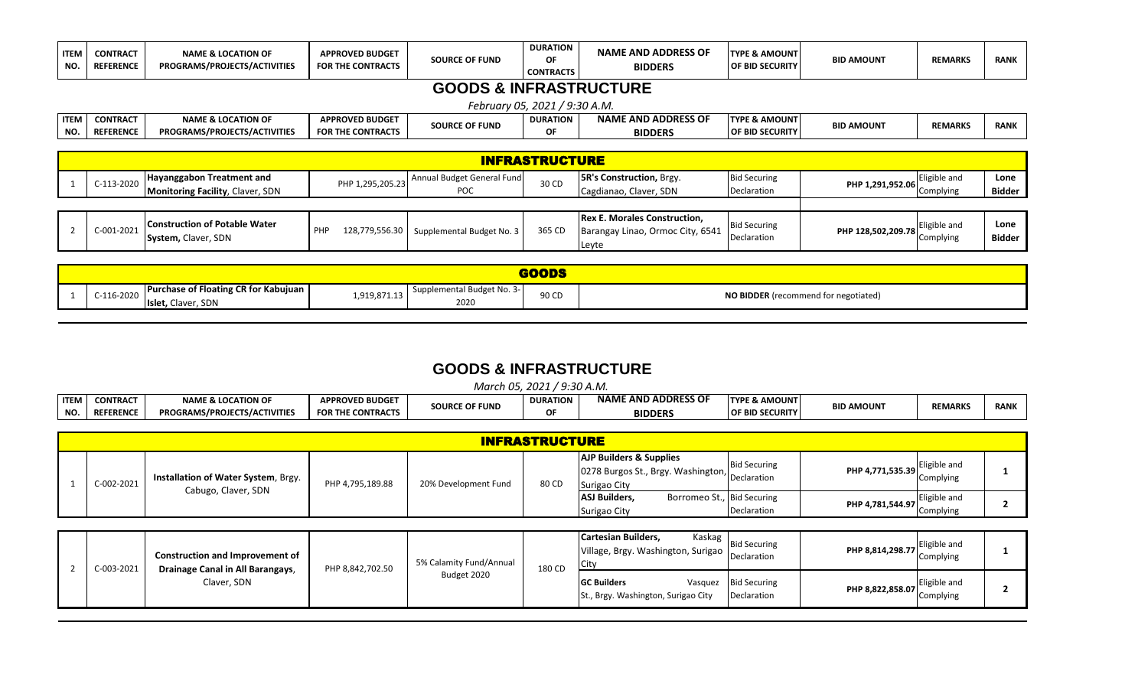| <b>ITEM</b><br>NO. | <b>CONTRACT</b><br><b>REFERENCE</b> | <b>NAME &amp; LOCATION OF</b><br>PROGRAMS/PROJECTS/ACTIVITIES | <b>APPROVED BUDGET</b><br><b>FOR THE CONTRACTS</b> | <b>SOURCE OF FUND</b>             | <b>DURATION</b><br>OF<br><b>CONTRACTS</b> | <b>NAME AND ADDRESS OF</b><br><b>BIDDERS</b> | <b>TYPE &amp; AMOUNT</b><br><b>OF BID SECURITY</b> | <b>BID AMOUNT</b>  | <b>REMARKS</b> | <b>RANK</b>   |  |  |
|--------------------|-------------------------------------|---------------------------------------------------------------|----------------------------------------------------|-----------------------------------|-------------------------------------------|----------------------------------------------|----------------------------------------------------|--------------------|----------------|---------------|--|--|
|                    |                                     |                                                               |                                                    | <b>GOODS &amp; INFRASTRUCTURE</b> |                                           |                                              |                                                    |                    |                |               |  |  |
|                    | February 05, 2021 / 9:30 A.M.       |                                                               |                                                    |                                   |                                           |                                              |                                                    |                    |                |               |  |  |
| <b>ITEM</b>        | <b>CONTRACT</b>                     | <b>NAME &amp; LOCATION OF</b>                                 | <b>APPROVED BUDGET</b>                             | <b>SOURCE OF FUND</b>             | <b>DURATION</b>                           | <b>NAME AND ADDRESS OF</b>                   | <b>TYPE &amp; AMOUNT</b>                           | <b>BID AMOUNT</b>  | <b>REMARKS</b> | <b>RANK</b>   |  |  |
| NO.                | <b>REFERENCE</b>                    | PROGRAMS/PROJECTS/ACTIVITIES                                  | <b>FOR THE CONTRACTS</b>                           |                                   | ΟF                                        | <b>BIDDERS</b>                               | <b>OF BID SECURITY</b>                             |                    |                |               |  |  |
|                    |                                     |                                                               |                                                    |                                   |                                           |                                              |                                                    |                    |                |               |  |  |
|                    | <b>INFRASTRUCTURE</b>               |                                                               |                                                    |                                   |                                           |                                              |                                                    |                    |                |               |  |  |
|                    | C-113-2020                          | Hayanggabon Treatment and                                     | PHP 1,295,205.23                                   | Annual Budget General Fund        | 30 CD                                     | <b>5R's Construction, Brgy.</b>              | <b>Bid Securing</b>                                | PHP 1,291,952.06   | Eligible and   | Lone          |  |  |
|                    |                                     | <b>Monitoring Facility, Claver, SDN</b>                       |                                                    | <b>POC</b>                        |                                           | Cagdianao, Claver, SDN                       | Declaration                                        |                    | Complying      | Bidder        |  |  |
|                    |                                     |                                                               |                                                    |                                   |                                           |                                              |                                                    |                    |                |               |  |  |
|                    |                                     | <b>Construction of Potable Water</b>                          |                                                    |                                   |                                           | <b>Rex E. Morales Construction,</b>          | <b>Bid Securing</b>                                |                    | Eligible and   | Lone          |  |  |
|                    | C-001-2021                          | System, Claver, SDN                                           | PHP<br>128,779,556.30                              | Supplemental Budget No. 3         | 365 CD                                    | Barangay Linao, Ormoc City, 6541             | Declaration                                        | PHP 128,502,209.78 | Complying      | <b>Bidder</b> |  |  |
|                    |                                     |                                                               |                                                    |                                   |                                           | Leyte                                        |                                                    |                    |                |               |  |  |
|                    |                                     |                                                               |                                                    |                                   |                                           |                                              |                                                    |                    |                |               |  |  |
|                    |                                     |                                                               |                                                    |                                   | RAANQ                                     |                                              |                                                    |                    |                |               |  |  |

| <b>Purchase of Floating CR for Kabujuan</b><br>C-116-2020<br><b>Islet, Claver, SDN</b> | Supplemental Budget No. 3-<br>$-1.519.871.13$<br>2020 | 90 CD | NO BIDDER (recommend for negotiated) |  |  |  |  |  |  |  |
|----------------------------------------------------------------------------------------|-------------------------------------------------------|-------|--------------------------------------|--|--|--|--|--|--|--|
|                                                                                        |                                                       |       |                                      |  |  |  |  |  |  |  |

## **GOODS & INFRASTRUCTURE** *March 05, 2021 / 9:30 A.M.*

|                             | March 05<br>2021<br>∆ ווצ∙ט /<br>' A.M. |                                            |                          |                       |                 |                               |                           |                   |                |             |  |
|-----------------------------|-----------------------------------------|--------------------------------------------|--------------------------|-----------------------|-----------------|-------------------------------|---------------------------|-------------------|----------------|-------------|--|
| <b>ITEM</b>                 | .<br><b>CONTRACT</b>                    | ، LOCATION OF<br><b>NAME</b><br>אי         | <b>APPROVED BUDGET</b>   | <b>SOURCE OF FUND</b> | <b>DURATION</b> | AND ADDRESS OF<br><b>NAME</b> | <b>ITYPE &amp; AMOUNT</b> | <b>BID AMOUNT</b> | <b>REMARKS</b> | <b>RANK</b> |  |
| <b>N<sub>O</sub></b><br>טיי | <b>REFERENC</b>                         | <b>CTIVITIE</b> :<br>PROGRAMS/PROJECTS/ACT | <b>FOR THE CONTRACTS</b> |                       | ΟF              | <b>BIDDERS</b>                | <b>OF BID SECURITY</b>    |                   |                |             |  |

| <b>INFRASTRUCTURE</b> |                                     |                  |                      |       |                                                                                                      |                     |                  |                           |  |  |  |
|-----------------------|-------------------------------------|------------------|----------------------|-------|------------------------------------------------------------------------------------------------------|---------------------|------------------|---------------------------|--|--|--|
| C-002-2021            | Installation of Water System, Brgy. | PHP 4,795,189.88 | 20% Development Fund | 80 CD | <b>AJP Builders &amp; Supplies</b><br>0278 Burgos St., Brgy. Washington, Declaration<br>Surigao City | <b>Bid Securing</b> | PHP 4,771,535.39 | Eligible and<br>Complying |  |  |  |
|                       | Cabugo, Claver, SDN                 |                  |                      |       | ASJ Builders,<br>Borromeo St., Bid Securing<br>Surigao City                                          | Declaration         | PHP 4,781,544.97 | Eligible and<br>Complying |  |  |  |

| C-003-2021 | <b>Construction and Improvement of</b><br>Drainage Canal in All Barangays, | PHP 8,842,702.50 | 5% Calamity Fund/Annual | 180 CD | <b>Cartesian Builders,</b><br>Village, Brgy. Washington, Surigao | Kaskag | <b>Bid Securing</b><br>Declaration  | PHP 8,814,298.77 | Eligible and<br>Complying |  |
|------------|----------------------------------------------------------------------------|------------------|-------------------------|--------|------------------------------------------------------------------|--------|-------------------------------------|------------------|---------------------------|--|
|            | Claver, SDN                                                                |                  | Budget 2020             |        | <b>GC Builders</b><br>St., Brgy. Washington, Surigao City        |        | Vasquez Bid Securing<br>Declaration | PHP 8,822,858.07 | Eligible and<br>Complying |  |